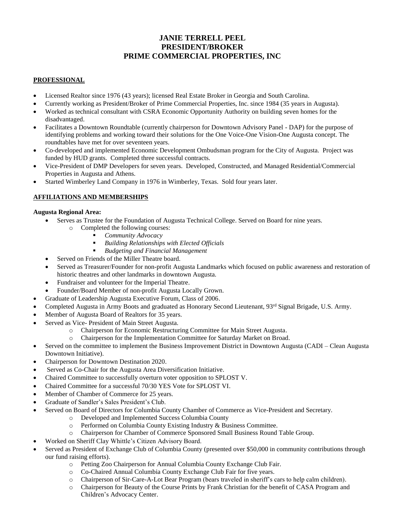# **JANIE TERRELL PEEL PRESIDENT/BROKER PRIME COMMERCIAL PROPERTIES, INC**

## **PROFESSIONAL**

- Licensed Realtor since 1976 (43 years); licensed Real Estate Broker in Georgia and South Carolina.
- Currently working as President/Broker of Prime Commercial Properties, Inc. since 1984 (35 years in Augusta).
- Worked as technical consultant with CSRA Economic Opportunity Authority on building seven homes for the disadvantaged.
- Facilitates a Downtown Roundtable (currently chairperson for Downtown Advisory Panel DAP) for the purpose of identifying problems and working toward their solutions for the One Voice-One Vision-One Augusta concept. The roundtables have met for over seventeen years.
- Co-developed and implemented Economic Development Ombudsman program for the City of Augusta. Project was funded by HUD grants. Completed three successful contracts.
- Vice-President of DMP Developers for seven years. Developed, Constructed, and Managed Residential/Commercial Properties in Augusta and Athens.
- Started Wimberley Land Company in 1976 in Wimberley, Texas. Sold four years later.

# **AFFILIATIONS AND MEMBERSHIPS**

## **Augusta Regional Area:**

- Serves as Trustee for the Foundation of Augusta Technical College. Served on Board for nine years.
	- Completed the following courses:
		- *Community Advocacy*
		- **Building Relationships with Elected Officials**
		- *Budgeting and Financial Management*
- Served on Friends of the Miller Theatre board.
- Served as Treasurer/Founder for non-profit Augusta Landmarks which focused on public awareness and restoration of historic theatres and other landmarks in downtown Augusta.
- Fundraiser and volunteer for the Imperial Theatre.
- Founder/Board Member of non-profit Augusta Locally Grown.
- Graduate of Leadership Augusta Executive Forum, Class of 2006.
- Completed Augusta in Army Boots and graduated as Honorary Second Lieutenant, 93rd Signal Brigade, U.S. Army.
- Member of Augusta Board of Realtors for 35 years.
- Served as Vice- President of Main Street Augusta.
	- o Chairperson for Economic Restructuring Committee for Main Street Augusta.
	- o Chairperson for the Implementation Committee for Saturday Market on Broad.
- Served on the committee to implement the Business Improvement District in Downtown Augusta (CADI Clean Augusta Downtown Initiative).
- Chairperson for Downtown Destination 2020.
- Served as Co-Chair for the Augusta Area Diversification Initiative.
- Chaired Committee to successfully overturn voter opposition to SPLOST V.
- Chaired Committee for a successful 70/30 YES Vote for SPLOST VI.
- Member of Chamber of Commerce for 25 years.
- Graduate of Sandler's Sales President's Club.
- Served on Board of Directors for Columbia County Chamber of Commerce as Vice-President and Secretary.
	- o Developed and Implemented Success Columbia County
	- o Performed on Columbia County Existing Industry & Business Committee.
	- o Chairperson for Chamber of Commerce Sponsored Small Business Round Table Group.
- Worked on Sheriff Clay Whittle's Citizen Advisory Board.
- Served as President of Exchange Club of Columbia County (presented over \$50,000 in community contributions through our fund raising efforts).
	- o Petting Zoo Chairperson for Annual Columbia County Exchange Club Fair.
	- o Co-Chaired Annual Columbia County Exchange Club Fair for five years.
	- o Chairperson of Sir-Care-A-Lot Bear Program (bears traveled in sheriff's cars to help calm children).
	- o Chairperson for Beauty of the Course Prints by Frank Christian for the benefit of CASA Program and Children's Advocacy Center.